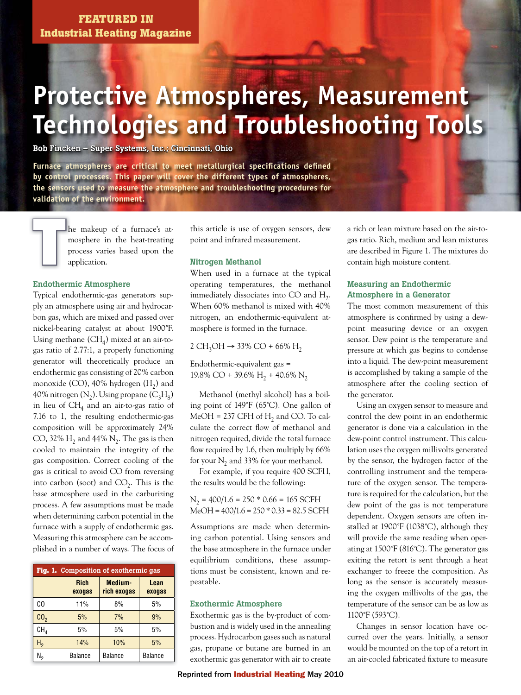# **Protective Atmospheres, Measurement Technologies and Troubleshooting Tools**

**Bob Fincken – Super Systems, Inc.; Cincinnati, Ohio** 

Furnace atmospheres are critical to meet metallurgical specifications defined **by control processes. This paper will cover the different types of atmospheres, the sensors used to measure the atmosphere and troubleshooting procedures for validation of the environment.**

 $\begin{tabular}{|c|c|} \hline \quad \quad & \quad \quad & \quad \quad & \quad \quad \\ \hline \quad \quad & \quad \quad & \quad \quad & \quad \quad \\ \hline \quad \quad & \quad \quad & \quad \quad & \quad \quad \\ \hline \quad \quad & \quad \quad & \quad \quad \\ \hline \quad \quad & \quad \quad & \quad \quad \\ \hline \end{tabular}$ 

he makeup of a furnace's at-h mosphere in the heat-treating m process varies based upon the p application.

### **Endothermic Atmosphere**

Typical endothermic-gas generators supply an atmosphere using air and hydrocarbon gas, which are mixed and passed over nickel-bearing catalyst at about 1900˚F. Using methane  $(CH<sub>4</sub>)$  mixed at an air-togas ratio of 2.77:1, a properly functioning generator will theoretically produce an endothermic gas consisting of 20% carbon monoxide (CO),  $40\%$  hydrogen (H<sub>2</sub>) and 40% nitrogen  $(N_2)$ . Using propane  $(C_3H_8)$ in lieu of  $CH<sub>4</sub>$  and an air-to-gas ratio of 7.16 to 1, the resulting endothermic-gas composition will be approximately 24% CO, 32%  $H_2$  and 44% N<sub>2</sub>. The gas is then cooled to maintain the integrity of the gas composition. Correct cooling of the gas is critical to avoid CO from reversing into carbon (soot) and  $CO<sub>2</sub>$ . This is the base atmosphere used in the carburizing process. A few assumptions must be made when determining carbon potential in the furnace with a supply of endothermic gas. Measuring this atmosphere can be accomplished in a number of ways. The focus of

| Fig. 1. Composition of exothermic gas |                       |                        |                |  |
|---------------------------------------|-----------------------|------------------------|----------------|--|
|                                       | <b>Rich</b><br>exogas | Medium-<br>rich exogas | Lean<br>exogas |  |
| CO                                    | 11%                   | 8%                     | 5%             |  |
| CO <sub>2</sub>                       | 5%                    | 7%                     | 9%             |  |
| CH <sub>A</sub>                       | 5%                    | 5%                     | 5%             |  |
| Η,                                    | 14%                   | 10%                    | 5%             |  |
| Ν,                                    | Balance               | <b>Balance</b>         | <b>Balance</b> |  |

this article is use of oxygen sensors, dew point and infrared measurement.

#### **Nitrogen Methanol**

When used in a furnace at the typical operating temperatures, the methanol immediately dissociates into CO and  $H_2$ . When 60% methanol is mixed with 40% nitrogen, an endothermic-equivalent atmosphere is formed in the furnace.

2 CH<sub>3</sub>OH → 33% CO + 66% H<sub>2</sub>

Endothermic-equivalent gas = 19.8% CO + 39.6% H<sub>2</sub> + 40.6% N<sub>2</sub>

 Methanol (methyl alcohol) has a boiling point of 149˚F (65˚C). One gallon of  $MeOH = 237$  CFH of H<sub>2</sub> and CO. To calculate the correct flow of methanol and nitrogen required, divide the total furnace flow required by 1.6, then multiply by  $66\%$ for your  $N_2$  and 33% for your methanol.

 For example, if you require 400 SCFH, the results would be the following:

 $N_2$  = 400/1.6 = 250 \* 0.66 = 165 SCFH MeOH = 400/1.6 = 250 \* 0.33 = 82.5 SCFH

Assumptions are made when determining carbon potential. Using sensors and the base atmosphere in the furnace under equilibrium conditions, these assumptions must be consistent, known and repeatable.

#### **Exothermic Atmosphere**

Exothermic gas is the by-product of combustion and is widely used in the annealing process. Hydrocarbon gases such as natural gas, propane or butane are burned in an exothermic gas generator with air to create a rich or lean mixture based on the air-togas ratio. Rich, medium and lean mixtures are described in Figure 1. The mixtures do contain high moisture content.

# **Measuring an Endothermic Atmosphere in a Generator**

The most common measurement of this atmosphere is confirmed by using a dewpoint measuring device or an oxygen sensor. Dew point is the temperature and pressure at which gas begins to condense into a liquid. The dew-point measurement is accomplished by taking a sample of the atmosphere after the cooling section of the generator.

 Using an oxygen sensor to measure and control the dew point in an endothermic generator is done via a calculation in the dew-point control instrument. This calculation uses the oxygen millivolts generated by the sensor, the hydrogen factor of the controlling instrument and the temperature of the oxygen sensor. The temperature is required for the calculation, but the dew point of the gas is not temperature dependent. Oxygen sensors are often installed at 1900˚F (1038˚C), although they will provide the same reading when operating at 1500˚F (816˚C). The generator gas exiting the retort is sent through a heat exchanger to freeze the composition. As long as the sensor is accurately measuring the oxygen millivolts of the gas, the temperature of the sensor can be as low as 1100˚F (593˚C).

 Changes in sensor location have occurred over the years. Initially, a sensor would be mounted on the top of a retort in an air-cooled fabricated fixture to measure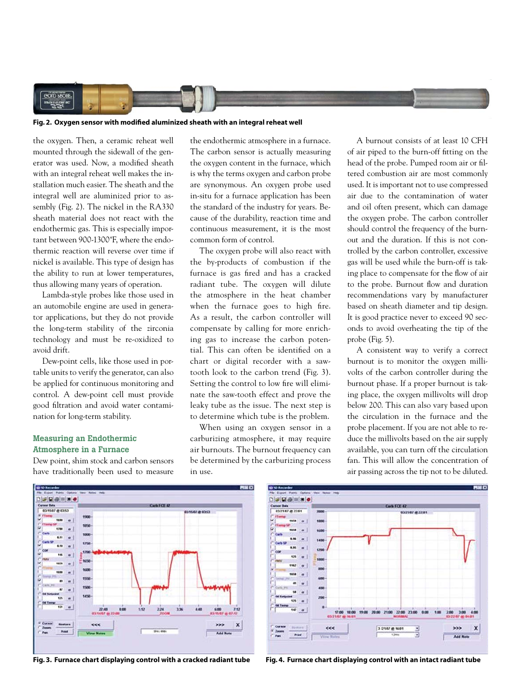

#### Fig. 2. Oxygen sensor with modified aluminized sheath with an integral reheat well

the oxygen. Then, a ceramic reheat well mounted through the sidewall of the generator was used. Now, a modified sheath with an integral reheat well makes the installation much easier. The sheath and the integral well are aluminized prior to assembly (Fig. 2). The nickel in the RA330 sheath material does not react with the endothermic gas. This is especially important between 900-1300˚F, where the endothermic reaction will reverse over time if nickel is available. This type of design has the ability to run at lower temperatures, thus allowing many years of operation.

 Lambda-style probes like those used in an automobile engine are used in generator applications, but they do not provide the long-term stability of the zirconia technology and must be re-oxidized to avoid drift.

 Dew-point cells, like those used in portable units to verify the generator, can also be applied for continuous monitoring and control. A dew-point cell must provide good filtration and avoid water contamination for long-term stability.

## **Measuring an Endothermic Atmosphere in a Furnace**

Dew point, shim stock and carbon sensors have traditionally been used to measure

the endothermic atmosphere in a furnace. The carbon sensor is actually measuring the oxygen content in the furnace, which is why the terms oxygen and carbon probe are synonymous. An oxygen probe used in-situ for a furnace application has been the standard of the industry for years. Because of the durability, reaction time and continuous measurement, it is the most common form of control.

 The oxygen probe will also react with the by-products of combustion if the furnace is gas fired and has a cracked radiant tube. The oxygen will dilute the atmosphere in the heat chamber when the furnace goes to high fire. As a result, the carbon controller will compensate by calling for more enriching gas to increase the carbon potential. This can often be identified on a chart or digital recorder with a sawtooth look to the carbon trend (Fig. 3). Setting the control to low fire will eliminate the saw-tooth effect and prove the leaky tube as the issue. The next step is to determine which tube is the problem.

 When using an oxygen sensor in a carburizing atmosphere, it may require air burnouts. The burnout frequency can be determined by the carburizing process in use.

 A burnout consists of at least 10 CFH of air piped to the burn-off fitting on the head of the probe. Pumped room air or filtered combustion air are most commonly used. It is important not to use compressed air due to the contamination of water and oil often present, which can damage the oxygen probe. The carbon controller should control the frequency of the burnout and the duration. If this is not controlled by the carbon controller, excessive gas will be used while the burn-off is taking place to compensate for the flow of air to the probe. Burnout flow and duration recommendations vary by manufacturer based on sheath diameter and tip design. It is good practice never to exceed 90 seconds to avoid overheating the tip of the probe (Fig. 5).

 A consistent way to verify a correct burnout is to monitor the oxygen millivolts of the carbon controller during the burnout phase. If a proper burnout is taking place, the oxygen millivolts will drop below 200. This can also vary based upon the circulation in the furnace and the probe placement. If you are not able to reduce the millivolts based on the air supply available, you can turn off the circulation fan. This will allow the concentration of air passing across the tip not to be diluted.







**Fig. 3. Furnace chart displaying control with a cracked radiant tube Fig. 4. Furnace chart displaying control with an intact radiant tube**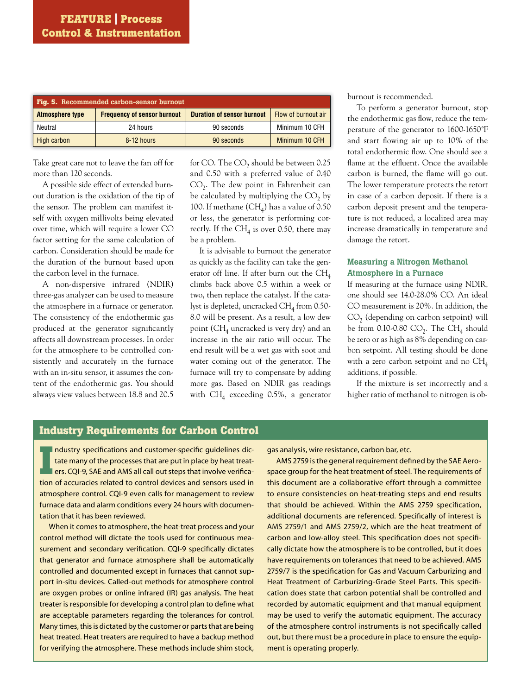| Fig. 5. Recommended carbon-sensor burnout |                                    |                                   |                     |  |  |
|-------------------------------------------|------------------------------------|-----------------------------------|---------------------|--|--|
| <b>Atmosphere type</b>                    | <b>Frequency of sensor burnout</b> | <b>Duration of sensor burnout</b> | Flow of burnout air |  |  |
| Neutral                                   | 24 hours                           | 90 seconds                        | Minimum 10 CFH      |  |  |
| High carbon                               | 8-12 hours                         | 90 seconds                        | Minimum 10 CFH      |  |  |

Take great care not to leave the fan off for more than 120 seconds.

 A possible side effect of extended burnout duration is the oxidation of the tip of the sensor. The problem can manifest itself with oxygen millivolts being elevated over time, which will require a lower CO factor setting for the same calculation of carbon. Consideration should be made for the duration of the burnout based upon the carbon level in the furnace.

 A non-dispersive infrared (NDIR) three-gas analyzer can be used to measure the atmosphere in a furnace or generator. The consistency of the endothermic gas produced at the generator significantly affects all downstream processes. In order for the atmosphere to be controlled consistently and accurately in the furnace with an in-situ sensor, it assumes the content of the endothermic gas. You should always view values between 18.8 and 20.5 for CO. The  $CO<sub>2</sub>$  should be between 0.25 and 0.50 with a preferred value of 0.40  $CO<sub>2</sub>$ . The dew point in Fahrenheit can be calculated by multiplying the  $CO<sub>2</sub>$  by 100. If methane  $(CH_4)$  has a value of 0.50 or less, the generator is performing correctly. If the  $CH_4$  is over 0.50, there may be a problem.

 It is advisable to burnout the generator as quickly as the facility can take the generator off line. If after burn out the  $CH<sub>4</sub>$ climbs back above 0.5 within a week or two, then replace the catalyst. If the catalyst is depleted, uncracked  $CH<sub>4</sub>$  from 0.50-8.0 will be present. As a result, a low dew point ( $CH<sub>4</sub>$  uncracked is very dry) and an increase in the air ratio will occur. The end result will be a wet gas with soot and water coming out of the generator. The furnace will try to compensate by adding more gas. Based on NDIR gas readings with  $CH<sub>4</sub>$  exceeding 0.5%, a generator burnout is recommended.

 To perform a generator burnout, stop the endothermic gas flow, reduce the temperature of the generator to 1600-1650˚F and start flowing air up to 10% of the total endothermic flow. One should see a flame at the effluent. Once the available carbon is burned, the flame will go out. The lower temperature protects the retort in case of a carbon deposit. If there is a carbon deposit present and the temperature is not reduced, a localized area may increase dramatically in temperature and damage the retort.

## **Measuring a Nitrogen Methanol Atmosphere in a Furnace**

If measuring at the furnace using NDIR, one should see 14.0-28.0% CO. An ideal CO measurement is 20%. In addition, the  $CO<sub>2</sub>$  (depending on carbon setpoint) will be from 0.10-0.80  $CO<sub>2</sub>$ . The CH<sub>4</sub> should be zero or as high as 8% depending on carbon setpoint. All testing should be done with a zero carbon setpoint and no  $CH<sub>4</sub>$ additions, if possible.

 If the mixture is set incorrectly and a higher ratio of methanol to nitrogen is ob-

## **Industry Requirements for Carbon Control**

II ndustry specifications and customer-specific guidelines dictate many of the processes that are put in place by heat treat-<br>II ers. CQI-9, SAE and AMS all call out steps that involve verifica-<br>tion of accuracies related ndustry specifications and customer-specific quidelines dictate many of the processes that are put in place by heat treaters. CQI-9, SAE and AMS all call out steps that involve verificaatmosphere control. CQI-9 even calls for management to review furnace data and alarm conditions every 24 hours with documentation that it has been reviewed.

 When it comes to atmosphere, the heat-treat process and your control method will dictate the tools used for continuous measurement and secondary verification. CQI-9 specifically dictates that generator and furnace atmosphere shall be automatically controlled and documented except in furnaces that cannot support in-situ devices. Called-out methods for atmosphere control are oxygen probes or online infrared (IR) gas analysis. The heat treater is responsible for developing a control plan to define what are acceptable parameters regarding the tolerances for control. Many times, this is dictated by the customer or parts that are being heat treated. Heat treaters are required to have a backup method for verifying the atmosphere. These methods include shim stock,

gas analysis, wire resistance, carbon bar, etc.

AMS 2759 is the general requirement defined by the SAE Aerospace group for the heat treatment of steel. The requirements of this document are a collaborative effort through a committee to ensure consistencies on heat-treating steps and end results that should be achieved. Within the AMS 2759 specification, additional documents are referenced. Specifically of interest is AMS 2759/1 and AMS 2759/2, which are the heat treatment of carbon and low-alloy steel. This specification does not specifically dictate how the atmosphere is to be controlled, but it does have requirements on tolerances that need to be achieved. AMS 2759/7 is the specification for Gas and Vacuum Carburizing and Heat Treatment of Carburizing-Grade Steel Parts. This specification does state that carbon potential shall be controlled and recorded by automatic equipment and that manual equipment may be used to verify the automatic equipment. The accuracy of the atmosphere control instruments is not specifically called out, but there must be a procedure in place to ensure the equipment is operating properly.